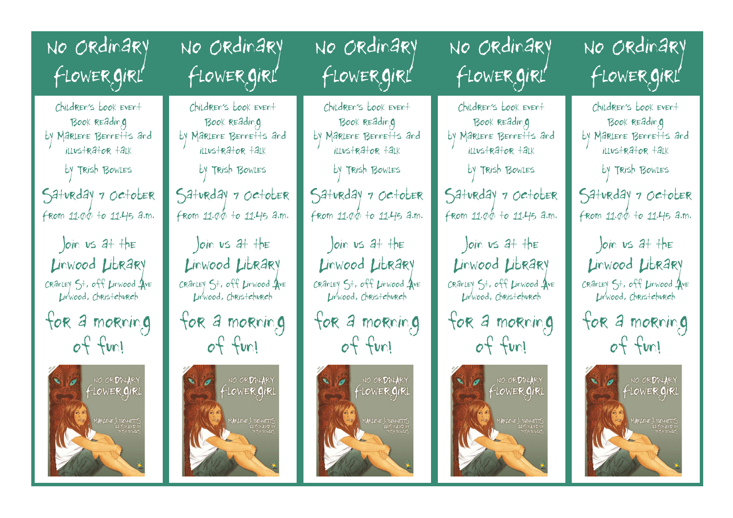No Ordinary Flowergirl

Children's book event Book reading by Marlene Bennetts and illustrator talk

by Trish Bowles

Saturday 7 October From 11.00 to 11.45 a.m.

Join us at the Linwood Library Cranley St, off Linwood Ave Linwood, Christchurch

for a morning of fun!